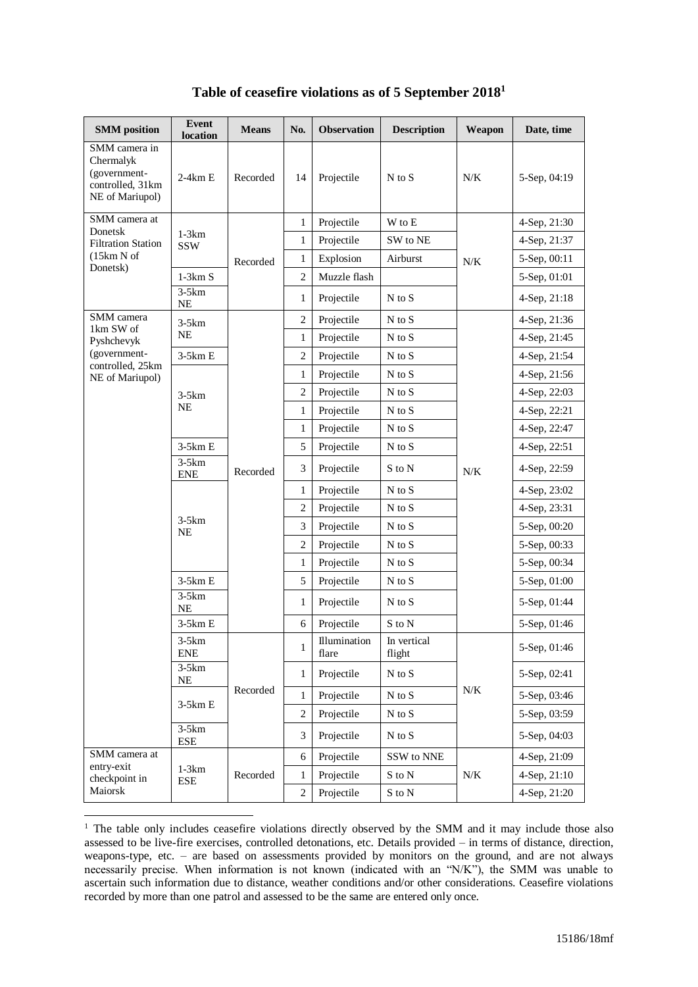| <b>SMM</b> position                                                               | <b>Event</b><br>location | <b>Means</b>        | No.            | <b>Observation</b>    | <b>Description</b>         | Weapon    | Date, time     |
|-----------------------------------------------------------------------------------|--------------------------|---------------------|----------------|-----------------------|----------------------------|-----------|----------------|
| SMM camera in<br>Chermalyk<br>(government-<br>controlled, 31km<br>NE of Mariupol) | $2-4km E$                | Recorded            | 14             | Projectile            | $N$ to $S$                 | $N\!/\!K$ | 5-Sep, 04:19   |
| SMM camera at                                                                     | $1-3km$<br><b>SSW</b>    | Recorded            | 1              | Projectile            | W to E                     | $N\!/\!K$ | 4-Sep, 21:30   |
| Donetsk<br><b>Filtration Station</b>                                              |                          |                     | $\mathbf{1}$   | Projectile            | SW to NE                   |           | 4-Sep, 21:37   |
| (15km N of                                                                        |                          |                     | $\mathbf{1}$   | Explosion             | Airburst                   |           | 5-Sep, 00:11   |
| Donetsk)                                                                          | $1-3km S$                |                     | $\overline{c}$ | Muzzle flash          |                            |           | 5-Sep, 01:01   |
|                                                                                   | $3-5km$<br>NE            |                     | 1              | Projectile            | $N$ to $S$                 |           | $4-Sep, 21:18$ |
| SMM camera<br>1km SW of                                                           | $3-5km$<br>NE            |                     | $\overline{c}$ | Projectile            | $N$ to $S$                 |           | 4-Sep, 21:36   |
| Pyshchevyk                                                                        |                          |                     | $\mathbf{1}$   | Projectile            | $N$ to $S$                 |           | 4-Sep, 21:45   |
| (government-<br>controlled, 25km                                                  | $3-5km E$                |                     | $\overline{2}$ | Projectile            | $N$ to $S$                 |           | 4-Sep, 21:54   |
| NE of Mariupol)                                                                   |                          |                     | $\mathbf{1}$   | Projectile            | $N$ to $S$                 |           | 4-Sep, 21:56   |
|                                                                                   | $3-5km$<br>NE            |                     | $\overline{2}$ | Projectile            | $N$ to $S$                 | N/K       | 4-Sep, 22:03   |
|                                                                                   |                          | Recorded            | 1              | Projectile            | $N$ to $S$                 |           | 4-Sep, 22:21   |
|                                                                                   |                          |                     | 1              | Projectile            | $N$ to $S$                 |           | 4-Sep, 22:47   |
|                                                                                   | $3-5km E$                |                     | 5              | Projectile            | $N$ to $S$                 |           | 4-Sep, 22:51   |
|                                                                                   | $3-5km$<br><b>ENE</b>    |                     | 3              | Projectile            | S to N                     |           | 4-Sep, 22:59   |
|                                                                                   | $3-5km$<br>NE            |                     | $\mathbf{1}$   | Projectile            | $N$ to $S$                 |           | 4-Sep, 23:02   |
|                                                                                   |                          |                     | $\overline{c}$ | Projectile            | $N$ to $S$                 |           | 4-Sep, 23:31   |
|                                                                                   |                          |                     | 3              | Projectile            | $N$ to $S$                 |           | 5-Sep, 00:20   |
|                                                                                   |                          |                     | $\overline{2}$ | Projectile            | $N$ to $S$                 |           | 5-Sep, 00:33   |
|                                                                                   |                          |                     | 1              | Projectile            | $N$ to $S$                 |           | 5-Sep, 00:34   |
|                                                                                   | $3-5km E$                |                     | 5              | Projectile            | $\mathbf N$ to $\mathbf S$ |           | 5-Sep, 01:00   |
|                                                                                   | $3-5km$<br>NE            |                     | 1              | Projectile            | $N$ to $S$                 |           | 5-Sep, 01:44   |
|                                                                                   | $3-5km E$                |                     | 6              | Projectile            | S to N                     |           | 5-Sep, 01:46   |
|                                                                                   | $3-5km$<br><b>ENE</b>    | Recorded            | 1              | Illumination<br>flare | In vertical<br>flight      | $N\!/\!K$ | 5-Sep, 01:46   |
|                                                                                   | $3-5km$<br>NE            |                     | $\mathbf{1}$   | Projectile            | $N$ to $S$                 |           | 5-Sep, 02:41   |
|                                                                                   | $3-5km E$                |                     | $\mathbf{1}$   | Projectile            | $\mathbf N$ to $\mathbf S$ |           | 5-Sep, 03:46   |
|                                                                                   |                          |                     | $\overline{2}$ | Projectile            | $N$ to $S$                 |           | 5-Sep, 03:59   |
|                                                                                   | $3-5km$<br>${\rm ESE}$   |                     | 3              | Projectile            | $N$ to $S$                 |           | 5-Sep, 04:03   |
| SMM camera at<br>entry-exit                                                       |                          | $1-3km$<br>Recorded | 6              | Projectile            | SSW to NNE                 |           | 4-Sep, 21:09   |
| checkpoint in                                                                     | ESE                      |                     | $\mathbf{1}$   | Projectile            | $\mathbf S$ to $\mathbf N$ | $N\!/\!K$ | 4-Sep, 21:10   |
| Maiorsk                                                                           |                          |                     | $\overline{c}$ | Projectile            | S to N                     |           | 4-Sep, 21:20   |

## **Table of ceasefire violations as of 5 September 2018<sup>1</sup>**

<u>.</u>

<sup>&</sup>lt;sup>1</sup> The table only includes ceasefire violations directly observed by the SMM and it may include those also assessed to be live-fire exercises, controlled detonations, etc. Details provided – in terms of distance, direction, weapons-type, etc. – are based on assessments provided by monitors on the ground, and are not always necessarily precise. When information is not known (indicated with an "N/K"), the SMM was unable to ascertain such information due to distance, weather conditions and/or other considerations. Ceasefire violations recorded by more than one patrol and assessed to be the same are entered only once.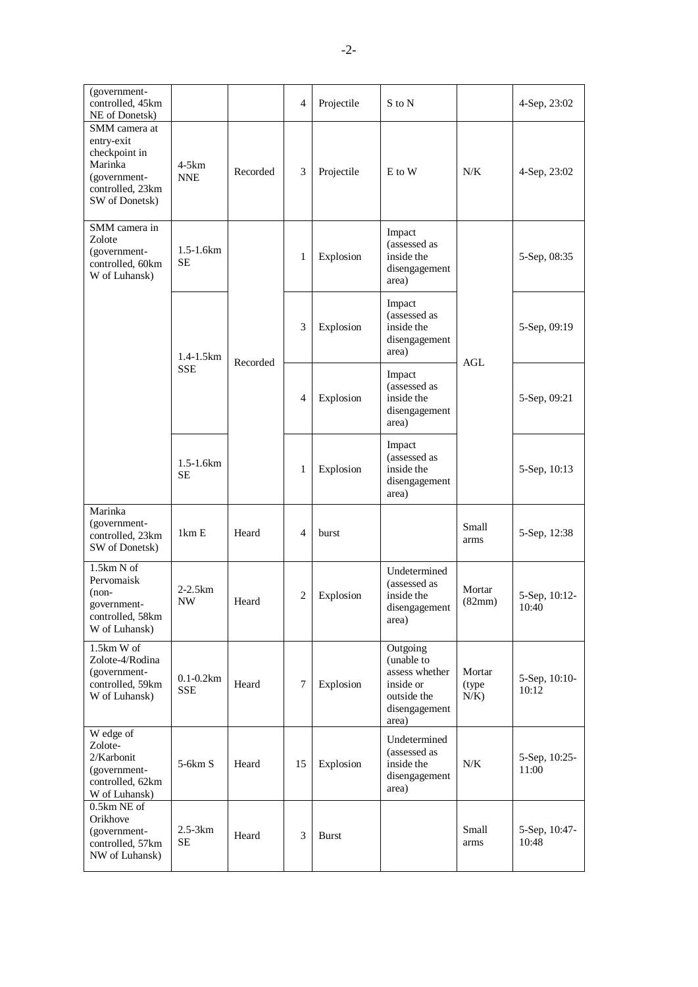| (government-<br>controlled, 45km<br>NE of Donetsk)                                                            |                             |          | 4              | Projectile | S to N                                                                                         |                             | 4-Sep, 23:02           |
|---------------------------------------------------------------------------------------------------------------|-----------------------------|----------|----------------|------------|------------------------------------------------------------------------------------------------|-----------------------------|------------------------|
| SMM camera at<br>entry-exit<br>checkpoint in<br>Marinka<br>(government-<br>controlled, 23km<br>SW of Donetsk) | 4-5km<br><b>NNE</b>         | Recorded | 3              | Projectile | E to W                                                                                         | N/K                         | 4-Sep, 23:02           |
| SMM camera in<br>Zolote<br>(government-<br>controlled, 60km<br>W of Luhansk)                                  | 1.5-1.6km<br><b>SE</b>      | Recorded | 1              | Explosion  | Impact<br>(assessed as<br>inside the<br>disengagement<br>area)                                 | AGL                         | 5-Sep, 08:35           |
|                                                                                                               | $1.4 - 1.5$ km              |          | 3              | Explosion  | Impact<br>(assessed as<br>inside the<br>disengagement<br>area)                                 |                             | 5-Sep, 09:19           |
|                                                                                                               | <b>SSE</b>                  |          | $\overline{4}$ | Explosion  | Impact<br>(assessed as<br>inside the<br>disengagement<br>area)                                 |                             | 5-Sep, 09:21           |
|                                                                                                               | 1.5-1.6km<br><b>SE</b>      |          | 1              | Explosion  | Impact<br>(assessed as<br>inside the<br>disengagement<br>area)                                 |                             | 5-Sep, 10:13           |
| Marinka<br>(government-<br>controlled, 23km<br>SW of Donetsk)                                                 | 1km E                       | Heard    | 4              | burst      |                                                                                                | Small<br>arms               | 5-Sep, 12:38           |
| 1.5km N of<br>Pervomaisk<br>$(non-$<br>government-<br>controlled, 58km<br>W of Luhansk)                       | $2-2.5km$<br><b>NW</b>      | Heard    | $\overline{c}$ | Explosion  | Undetermined<br>(assessed as<br>inside the<br>disengagement<br>area)                           | Mortar<br>(82mm)            | 5-Sep, 10:12-<br>10:40 |
| 1.5km W of<br>Zolote-4/Rodina<br>(government-<br>controlled, 59km<br>W of Luhansk)                            | $0.1 - 0.2km$<br><b>SSE</b> | Heard    | 7              | Explosion  | Outgoing<br>(unable to<br>assess whether<br>inside or<br>outside the<br>disengagement<br>area) | Mortar<br>(type)<br>$N/K$ ) | 5-Sep, 10:10-<br>10:12 |
| W edge of<br>Zolote-<br>2/Karbonit<br>(government-<br>controlled, 62km<br>W of Luhansk)                       | $5-6km S$                   | Heard    | 15             | Explosion  | Undetermined<br>(assessed as<br>inside the<br>disengagement<br>area)                           | N/K                         | 5-Sep, 10:25-<br>11:00 |
| 0.5km NE of<br>Orikhove<br>(government-<br>controlled, 57km<br>NW of Luhansk)                                 | $2.5-3km$<br><b>SE</b>      | Heard    | 3              | Burst      |                                                                                                | Small<br>arms               | 5-Sep, 10:47-<br>10:48 |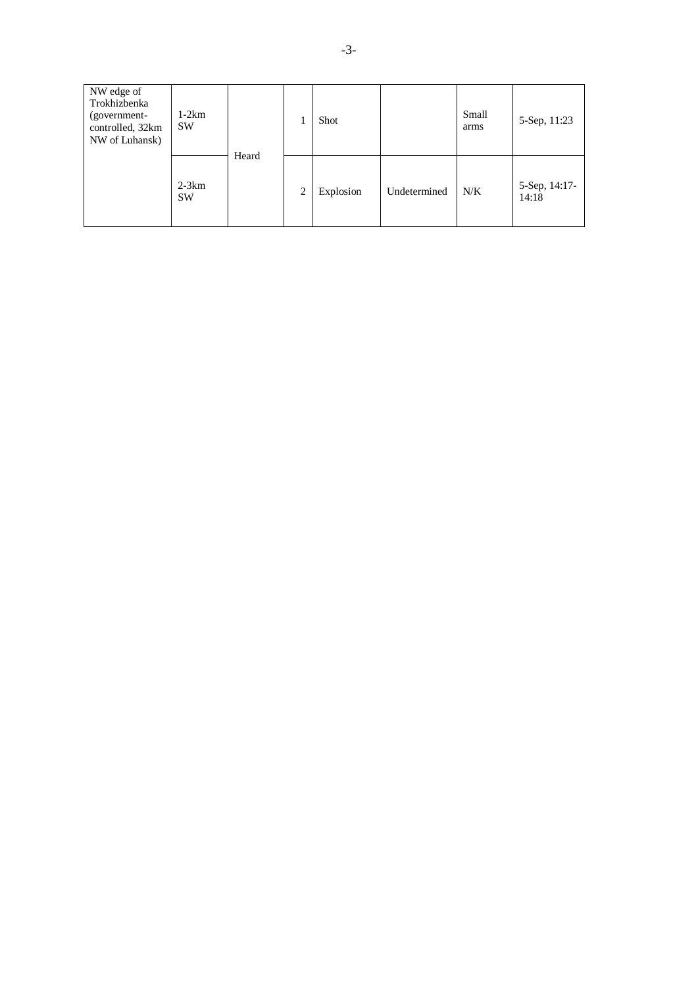| NW edge of<br>Trokhizbenka<br>(government-<br>controlled, 32km<br>NW of Luhansk) | $1-2km$<br><b>SW</b> | Heard |                | Shot      |              | Small<br>arms | 5-Sep, 11:23           |
|----------------------------------------------------------------------------------|----------------------|-------|----------------|-----------|--------------|---------------|------------------------|
|                                                                                  | $2-3km$<br><b>SW</b> |       | $\overline{2}$ | Explosion | Undetermined | N/K           | 5-Sep, 14:17-<br>14:18 |